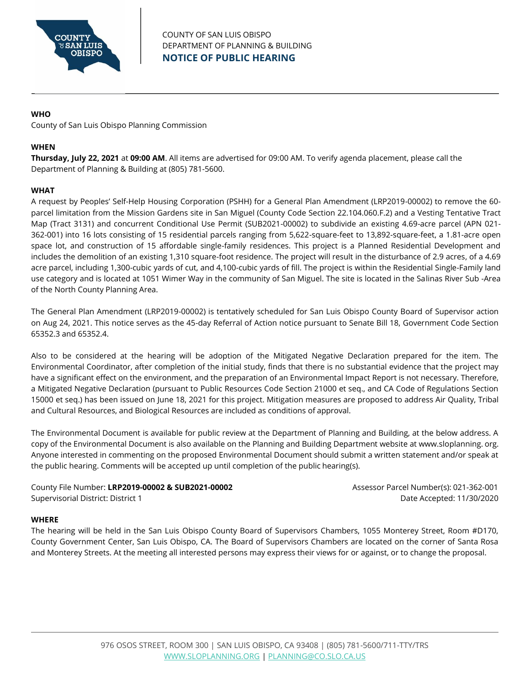

## **WHO**

County of San Luis Obispo Planning Commission

## **WHEN**

**Thursday, July 22, 2021** at **09:00 AM**. All items are advertised for 09:00 AM. To verify agenda placement, please call the Department of Planning & Building at (805) 781-5600.

### **WHAT**

A request by Peoples' Self-Help Housing Corporation (PSHH) for a General Plan Amendment (LRP2019-00002) to remove the 60 parcel limitation from the Mission Gardens site in San Miguel (County Code Section 22.104.060.F.2) and a Vesting Tentative Tract Map (Tract 3131) and concurrent Conditional Use Permit (SUB2021-00002) to subdivide an existing 4.69-acre parcel (APN 021- 362-001) into 16 lots consisting of 15 residential parcels ranging from 5,622-square-feet to 13,892-square-feet, a 1.81-acre open space lot, and construction of 15 affordable single-family residences. This project is a Planned Residential Development and includes the demolition of an existing 1,310 square-foot residence. The project will result in the disturbance of 2.9 acres, of a 4.69 acre parcel, including 1,300-cubic yards of cut, and 4,100-cubic yards of fill. The project is within the Residential Single-Family land use category and is located at 1051 Wimer Way in the community of San Miguel. The site is located in the Salinas River Sub -Area of the North County Planning Area.

The General Plan Amendment (LRP2019-00002) is tentatively scheduled for San Luis Obispo County Board of Supervisor action on Aug 24, 2021. This notice serves as the 45-day Referral of Action notice pursuant to Senate Bill 18, Government Code Section 65352.3 and 65352.4.

Also to be considered at the hearing will be adoption of the Mitigated Negative Declaration prepared for the item. The Environmental Coordinator, after completion of the initial study, finds that there is no substantial evidence that the project may have a significant effect on the environment, and the preparation of an Environmental Impact Report is not necessary. Therefore, a Mitigated Negative Declaration (pursuant to Public Resources Code Section 21000 et seq., and CA Code of Regulations Section 15000 et seq.) has been issued on June 18, 2021 for this project. Mitigation measures are proposed to address Air Quality, Tribal and Cultural Resources, and Biological Resources are included as conditions of approval.

The Environmental Document is available for public review at the Department of Planning and Building, at the below address. A copy of the Environmental Document is also available on the Planning and Building Department website at www.sloplanning. org. Anyone interested in commenting on the proposed Environmental Document should submit a written statement and/or speak at the public hearing. Comments will be accepted up until completion of the public hearing(s).

County File Number: **LRP2019-00002 & SUB2021-00002** Supervisorial District: District 1

Assessor Parcel Number(s): 021-362-001 Date Accepted: 11/30/2020

# **WHERE**

The hearing will be held in the San Luis Obispo County Board of Supervisors Chambers, 1055 Monterey Street, Room #D170, County Government Center, San Luis Obispo, CA. The Board of Supervisors Chambers are located on the corner of Santa Rosa and Monterey Streets. At the meeting all interested persons may express their views for or against, or to change the proposal.